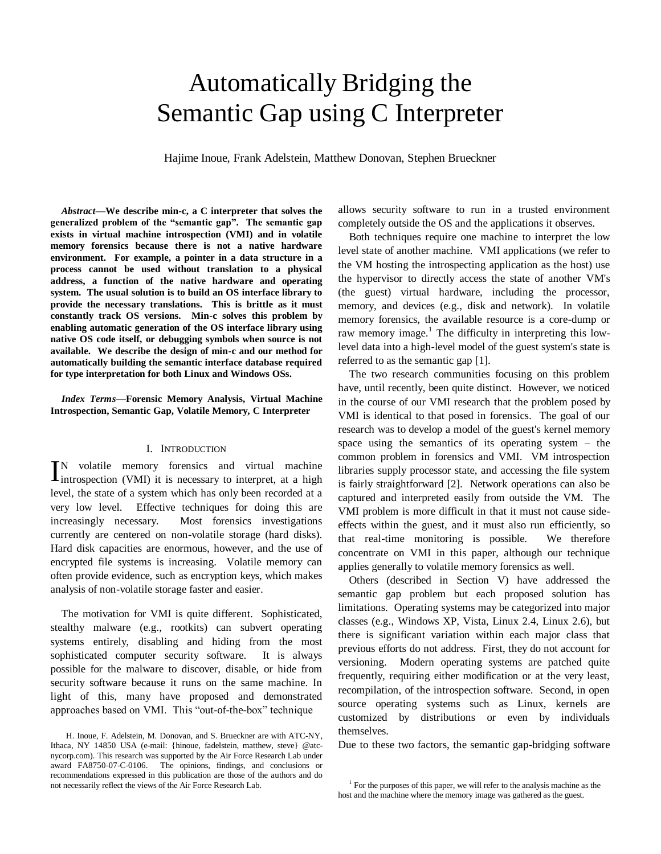# Automatically Bridging the Semantic Gap using C Interpreter

Hajime Inoue, Frank Adelstein, Matthew Donovan, Stephen Brueckner

*Abstract***—We describe min-c, a C interpreter that solves the generalized problem of the "semantic gap". The semantic gap exists in virtual machine introspection (VMI) and in volatile memory forensics because there is not a native hardware environment. For example, a pointer in a data structure in a process cannot be used without translation to a physical address, a function of the native hardware and operating system. The usual solution is to build an OS interface library to provide the necessary translations. This is brittle as it must constantly track OS versions. Min-c solves this problem by enabling automatic generation of the OS interface library using native OS code itself, or debugging symbols when source is not available. We describe the design of min-c and our method for automatically building the semantic interface database required for type interpretation for both Linux and Windows OSs.**

*Index Terms***—Forensic Memory Analysis, Virtual Machine Introspection, Semantic Gap, Volatile Memory, C Interpreter** 

# I. INTRODUCTION

N volatile memory forensics and virtual machine IN volatile memory forensics and virtual machine<br>
Introspection (VMI) it is necessary to interpret, at a high level, the state of a system which has only been recorded at a very low level. Effective techniques for doing this are increasingly necessary. Most forensics investigations currently are centered on non-volatile storage (hard disks). Hard disk capacities are enormous, however, and the use of encrypted file systems is increasing. Volatile memory can often provide evidence, such as encryption keys, which makes analysis of non-volatile storage faster and easier.

The motivation for VMI is quite different. Sophisticated, stealthy malware (e.g., rootkits) can subvert operating systems entirely, disabling and hiding from the most sophisticated computer security software. It is always possible for the malware to discover, disable, or hide from security software because it runs on the same machine. In light of this, many have proposed and demonstrated approaches based on VMI. This "out-of-the-box" technique

allows security software to run in a trusted environment completely outside the OS and the applications it observes.

Both techniques require one machine to interpret the low level state of another machine. VMI applications (we refer to the VM hosting the introspecting application as the host) use the hypervisor to directly access the state of another VM's (the guest) virtual hardware, including the processor, memory, and devices (e.g., disk and network). In volatile memory forensics, the available resource is a core-dump or raw memory image.<sup>1</sup> The difficulty in interpreting this lowlevel data into a high-level model of the guest system's state is referred to as the semantic gap [1].

The two research communities focusing on this problem have, until recently, been quite distinct. However, we noticed in the course of our VMI research that the problem posed by VMI is identical to that posed in forensics. The goal of our research was to develop a model of the guest's kernel memory space using the semantics of its operating system – the common problem in forensics and VMI. VM introspection libraries supply processor state, and accessing the file system is fairly straightforward [2]. Network operations can also be captured and interpreted easily from outside the VM. The VMI problem is more difficult in that it must not cause sideeffects within the guest, and it must also run efficiently, so that real-time monitoring is possible. We therefore concentrate on VMI in this paper, although our technique applies generally to volatile memory forensics as well.

Others (described in Section V) have addressed the semantic gap problem but each proposed solution has limitations. Operating systems may be categorized into major classes (e.g., Windows XP, Vista, Linux 2.4, Linux 2.6), but there is significant variation within each major class that previous efforts do not address. First, they do not account for versioning. Modern operating systems are patched quite frequently, requiring either modification or at the very least, recompilation, of the introspection software. Second, in open source operating systems such as Linux, kernels are customized by distributions or even by individuals themselves.

Due to these two factors, the semantic gap-bridging software

H. Inoue, F. Adelstein, M. Donovan, and S. Brueckner are with ATC-NY, Ithaca, NY 14850 USA (e-mail: {hinoue, fadelstein, matthew, steve} @atcnycorp.com). This research was supported by the Air Force Research Lab under award FA8750-07-C-0106. The opinions, findings, and conclusions or recommendations expressed in this publication are those of the authors and do not necessarily reflect the views of the Air Force Research Lab.

 $1$  For the purposes of this paper, we will refer to the analysis machine as the host and the machine where the memory image was gathered as the guest.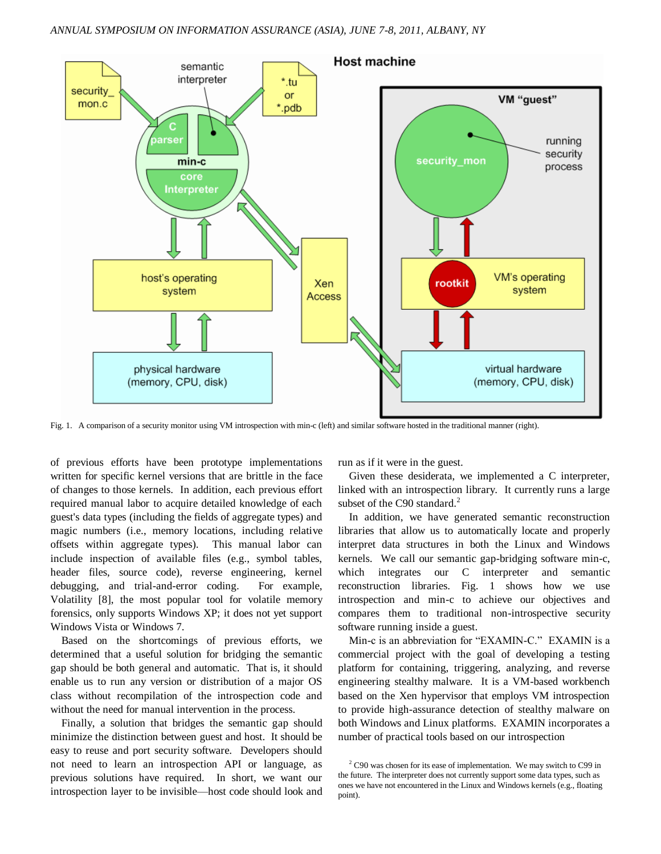

Fig. 1. A comparison of a security monitor using VM introspection with min-c (left) and similar software hosted in the traditional manner (right).

of previous efforts have been prototype implementations written for specific kernel versions that are brittle in the face of changes to those kernels. In addition, each previous effort required manual labor to acquire detailed knowledge of each guest's data types (including the fields of aggregate types) and magic numbers (i.e., memory locations, including relative offsets within aggregate types). This manual labor can include inspection of available files (e.g., symbol tables, header files, source code), reverse engineering, kernel debugging, and trial-and-error coding. For example, Volatility [8], the most popular tool for volatile memory forensics, only supports Windows XP; it does not yet support Windows Vista or Windows 7.

Based on the shortcomings of previous efforts, we determined that a useful solution for bridging the semantic gap should be both general and automatic. That is, it should enable us to run any version or distribution of a major OS class without recompilation of the introspection code and without the need for manual intervention in the process.

Finally, a solution that bridges the semantic gap should minimize the distinction between guest and host. It should be easy to reuse and port security software. Developers should not need to learn an introspection API or language, as previous solutions have required. In short, we want our introspection layer to be invisible—host code should look and run as if it were in the guest.

Given these desiderata, we implemented a C interpreter, linked with an introspection library. It currently runs a large subset of the C90 standard. $2$ 

In addition, we have generated semantic reconstruction libraries that allow us to automatically locate and properly interpret data structures in both the Linux and Windows kernels. We call our semantic gap-bridging software min-c, which integrates our C interpreter and semantic reconstruction libraries. Fig. 1 shows how we use introspection and min-c to achieve our objectives and compares them to traditional non-introspective security software running inside a guest.

Min-c is an abbreviation for "EXAMIN-C." EXAMIN is a commercial project with the goal of developing a testing platform for containing, triggering, analyzing, and reverse engineering stealthy malware. It is a VM-based workbench based on the Xen hypervisor that employs VM introspection to provide high-assurance detection of stealthy malware on both Windows and Linux platforms. EXAMIN incorporates a number of practical tools based on our introspection

 $2^2$  C90 was chosen for its ease of implementation. We may switch to C99 in the future. The interpreter does not currently support some data types, such as ones we have not encountered in the Linux and Windows kernels (e.g., floating point).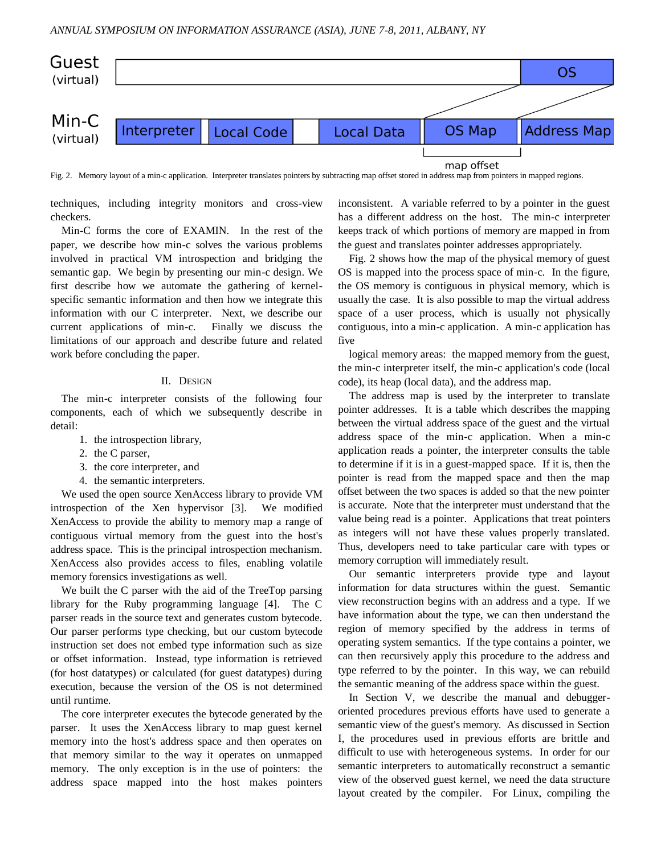

Fig. 2. Memory layout of a min-c application. Interpreter translates pointers by subtracting map offset stored in address map from pointers in mapped regions.

techniques, including integrity monitors and cross-view checkers.

Min-C forms the core of EXAMIN. In the rest of the paper, we describe how min-c solves the various problems involved in practical VM introspection and bridging the semantic gap. We begin by presenting our min-c design. We first describe how we automate the gathering of kernelspecific semantic information and then how we integrate this information with our C interpreter. Next, we describe our current applications of min-c. Finally we discuss the limitations of our approach and describe future and related work before concluding the paper.

## II. DESIGN

The min-c interpreter consists of the following four components, each of which we subsequently describe in detail:

- 1. the introspection library,
- 2. the C parser,
- 3. the core interpreter, and
- 4. the semantic interpreters.

We used the open source XenAccess library to provide VM introspection of the Xen hypervisor [3]. We modified XenAccess to provide the ability to memory map a range of contiguous virtual memory from the guest into the host's address space. This is the principal introspection mechanism. XenAccess also provides access to files, enabling volatile memory forensics investigations as well.

We built the C parser with the aid of the TreeTop parsing library for the Ruby programming language [4]. The C parser reads in the source text and generates custom bytecode. Our parser performs type checking, but our custom bytecode instruction set does not embed type information such as size or offset information. Instead, type information is retrieved (for host datatypes) or calculated (for guest datatypes) during execution, because the version of the OS is not determined until runtime.

The core interpreter executes the bytecode generated by the parser. It uses the XenAccess library to map guest kernel memory into the host's address space and then operates on that memory similar to the way it operates on unmapped memory. The only exception is in the use of pointers: the address space mapped into the host makes pointers

inconsistent. A variable referred to by a pointer in the guest has a different address on the host. The min-c interpreter keeps track of which portions of memory are mapped in from the guest and translates pointer addresses appropriately.

Fig. 2 shows how the map of the physical memory of guest OS is mapped into the process space of min-c. In the figure, the OS memory is contiguous in physical memory, which is usually the case. It is also possible to map the virtual address space of a user process, which is usually not physically contiguous, into a min-c application. A min-c application has five

logical memory areas: the mapped memory from the guest, the min-c interpreter itself, the min-c application's code (local code), its heap (local data), and the address map.

The address map is used by the interpreter to translate pointer addresses. It is a table which describes the mapping between the virtual address space of the guest and the virtual address space of the min-c application. When a min-c application reads a pointer, the interpreter consults the table to determine if it is in a guest-mapped space. If it is, then the pointer is read from the mapped space and then the map offset between the two spaces is added so that the new pointer is accurate. Note that the interpreter must understand that the value being read is a pointer. Applications that treat pointers as integers will not have these values properly translated. Thus, developers need to take particular care with types or memory corruption will immediately result.

Our semantic interpreters provide type and layout information for data structures within the guest. Semantic view reconstruction begins with an address and a type. If we have information about the type, we can then understand the region of memory specified by the address in terms of operating system semantics. If the type contains a pointer, we can then recursively apply this procedure to the address and type referred to by the pointer. In this way, we can rebuild the semantic meaning of the address space within the guest.

In Section V, we describe the manual and debuggeroriented procedures previous efforts have used to generate a semantic view of the guest's memory. As discussed in Section I, the procedures used in previous efforts are brittle and difficult to use with heterogeneous systems. In order for our semantic interpreters to automatically reconstruct a semantic view of the observed guest kernel, we need the data structure layout created by the compiler. For Linux, compiling the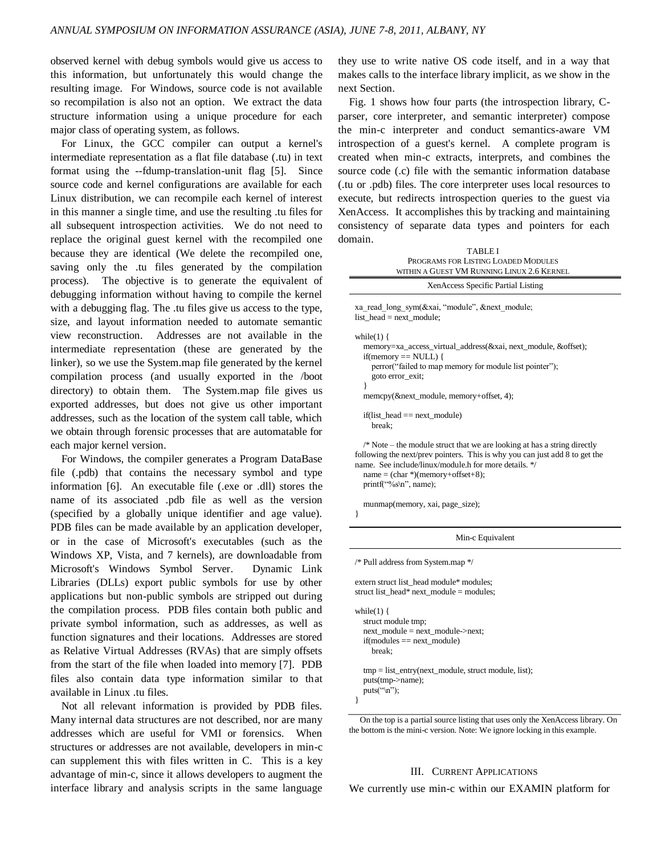observed kernel with debug symbols would give us access to this information, but unfortunately this would change the resulting image. For Windows, source code is not available so recompilation is also not an option. We extract the data structure information using a unique procedure for each major class of operating system, as follows.

For Linux, the GCC compiler can output a kernel's intermediate representation as a flat file database (.tu) in text format using the --fdump-translation-unit flag [5]. Since source code and kernel configurations are available for each Linux distribution, we can recompile each kernel of interest in this manner a single time, and use the resulting .tu files for all subsequent introspection activities. We do not need to replace the original guest kernel with the recompiled one because they are identical (We delete the recompiled one, saving only the .tu files generated by the compilation process). The objective is to generate the equivalent of debugging information without having to compile the kernel with a debugging flag. The .tu files give us access to the type, size, and layout information needed to automate semantic view reconstruction. Addresses are not available in the intermediate representation (these are generated by the linker), so we use the System.map file generated by the kernel compilation process (and usually exported in the /boot directory) to obtain them. The System.map file gives us exported addresses, but does not give us other important addresses, such as the location of the system call table, which we obtain through forensic processes that are automatable for each major kernel version.

For Windows, the compiler generates a Program DataBase file (.pdb) that contains the necessary symbol and type information [6]. An executable file (.exe or .dll) stores the name of its associated .pdb file as well as the version (specified by a globally unique identifier and age value). PDB files can be made available by an application developer, or in the case of Microsoft's executables (such as the Windows XP, Vista, and 7 kernels), are downloadable from Microsoft's Windows Symbol Server. Dynamic Link Libraries (DLLs) export public symbols for use by other applications but non-public symbols are stripped out during the compilation process. PDB files contain both public and private symbol information, such as addresses, as well as function signatures and their locations. Addresses are stored as Relative Virtual Addresses (RVAs) that are simply offsets from the start of the file when loaded into memory [7]. PDB files also contain data type information similar to that available in Linux .tu files.

Not all relevant information is provided by PDB files. Many internal data structures are not described, nor are many addresses which are useful for VMI or forensics. When structures or addresses are not available, developers in min-c can supplement this with files written in C. This is a key advantage of min-c, since it allows developers to augment the interface library and analysis scripts in the same language

they use to write native OS code itself, and in a way that makes calls to the interface library implicit, as we show in the next Section.

Fig. 1 shows how four parts (the introspection library, Cparser, core interpreter, and semantic interpreter) compose the min-c interpreter and conduct semantics-aware VM introspection of a guest's kernel. A complete program is created when min-c extracts, interprets, and combines the source code (.c) file with the semantic information database (.tu or .pdb) files. The core interpreter uses local resources to execute, but redirects introspection queries to the guest via XenAccess. It accomplishes this by tracking and maintaining consistency of separate data types and pointers for each domain.

| <b>TABLEI</b><br>PROGRAMS FOR LISTING LOADED MODULES<br>WITHIN A GUEST VM RUNNING LINUX 2.6 KERNEL                                                                                                                                                                                         |
|--------------------------------------------------------------------------------------------------------------------------------------------------------------------------------------------------------------------------------------------------------------------------------------------|
| XenAccess Specific Partial Listing                                                                                                                                                                                                                                                         |
| xa read long sym(&xai, "module", &next module;<br>list head $=$ next module;                                                                                                                                                                                                               |
| while $(1)$ {<br>memory=xa_access_virtual_address(&xai, next_module, &offset);<br>$if(memory == NULL)$ {<br>perror("failed to map memory for module list pointer");<br>goto error_exit;<br>∤<br>memcpy(&next_module, memory+offset, 4);                                                    |
| $if(list\_head == next\_module)$<br>break;                                                                                                                                                                                                                                                 |
| $\frac{1}{2}$ Note – the module struct that we are looking at has a string directly<br>following the next/prev pointers. This is why you can just add 8 to get the<br>name. See include/linux/module.h for more details. */<br>$name = (char*)(memory+offset+8);$<br>printf("%s\n", name); |
| munmap(memory, xai, page_size);<br>ł                                                                                                                                                                                                                                                       |
| Min-c Equivalent                                                                                                                                                                                                                                                                           |
| /* Pull address from System.map */                                                                                                                                                                                                                                                         |

extern struct list\_head module\* modules; struct list head\* next  $module = modules$ ;

while(1)  $\{$  struct module tmp; next\_module = next\_module->next;  $if (modules == next module)$  break; tmp = list\_entry(next\_module, struct module, list); puts(tmp->name); puts( $\lq\$ n'');

}

# III. CURRENT APPLICATIONS

We currently use min-c within our EXAMIN platform for

On the top is a partial source listing that uses only the XenAccess library. On the bottom is the mini-c version. Note: We ignore locking in this example.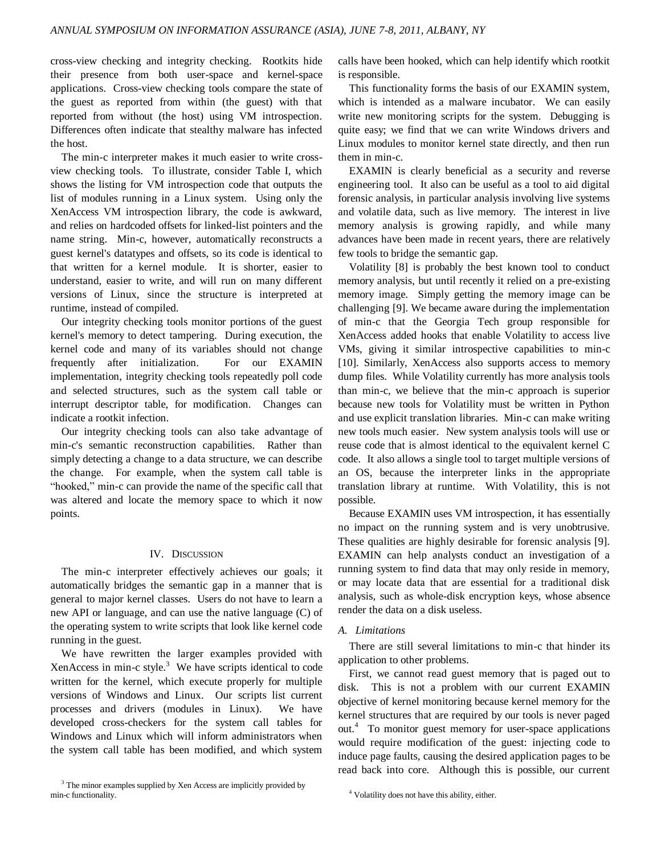cross-view checking and integrity checking. Rootkits hide their presence from both user-space and kernel-space applications. Cross-view checking tools compare the state of the guest as reported from within (the guest) with that reported from without (the host) using VM introspection. Differences often indicate that stealthy malware has infected the host.

The min-c interpreter makes it much easier to write crossview checking tools. To illustrate, consider Table I, which shows the listing for VM introspection code that outputs the list of modules running in a Linux system. Using only the XenAccess VM introspection library, the code is awkward, and relies on hardcoded offsets for linked-list pointers and the name string. Min-c, however, automatically reconstructs a guest kernel's datatypes and offsets, so its code is identical to that written for a kernel module. It is shorter, easier to understand, easier to write, and will run on many different versions of Linux, since the structure is interpreted at runtime, instead of compiled.

Our integrity checking tools monitor portions of the guest kernel's memory to detect tampering. During execution, the kernel code and many of its variables should not change frequently after initialization. For our EXAMIN implementation, integrity checking tools repeatedly poll code and selected structures, such as the system call table or interrupt descriptor table, for modification. Changes can indicate a rootkit infection.

Our integrity checking tools can also take advantage of min-c's semantic reconstruction capabilities. Rather than simply detecting a change to a data structure, we can describe the change. For example, when the system call table is "hooked," min-c can provide the name of the specific call that was altered and locate the memory space to which it now points.

## IV. DISCUSSION

The min-c interpreter effectively achieves our goals; it automatically bridges the semantic gap in a manner that is general to major kernel classes. Users do not have to learn a new API or language, and can use the native language (C) of the operating system to write scripts that look like kernel code running in the guest.

We have rewritten the larger examples provided with XenAccess in min-c style. $3$  We have scripts identical to code written for the kernel, which execute properly for multiple versions of Windows and Linux. Our scripts list current processes and drivers (modules in Linux). We have developed cross-checkers for the system call tables for Windows and Linux which will inform administrators when the system call table has been modified, and which system

calls have been hooked, which can help identify which rootkit is responsible.

This functionality forms the basis of our EXAMIN system, which is intended as a malware incubator. We can easily write new monitoring scripts for the system. Debugging is quite easy; we find that we can write Windows drivers and Linux modules to monitor kernel state directly, and then run them in min-c.

EXAMIN is clearly beneficial as a security and reverse engineering tool. It also can be useful as a tool to aid digital forensic analysis, in particular analysis involving live systems and volatile data, such as live memory. The interest in live memory analysis is growing rapidly, and while many advances have been made in recent years, there are relatively few tools to bridge the semantic gap.

Volatility [8] is probably the best known tool to conduct memory analysis, but until recently it relied on a pre-existing memory image. Simply getting the memory image can be challenging [9]. We became aware during the implementation of min-c that the Georgia Tech group responsible for XenAccess added hooks that enable Volatility to access live VMs, giving it similar introspective capabilities to min-c [10]. Similarly, XenAccess also supports access to memory dump files. While Volatility currently has more analysis tools than min-c, we believe that the min-c approach is superior because new tools for Volatility must be written in Python and use explicit translation libraries. Min-c can make writing new tools much easier. New system analysis tools will use or reuse code that is almost identical to the equivalent kernel C code. It also allows a single tool to target multiple versions of an OS, because the interpreter links in the appropriate translation library at runtime. With Volatility, this is not possible.

Because EXAMIN uses VM introspection, it has essentially no impact on the running system and is very unobtrusive. These qualities are highly desirable for forensic analysis [9]. EXAMIN can help analysts conduct an investigation of a running system to find data that may only reside in memory, or may locate data that are essential for a traditional disk analysis, such as whole-disk encryption keys, whose absence render the data on a disk useless.

#### *A. Limitations*

There are still several limitations to min-c that hinder its application to other problems.

First, we cannot read guest memory that is paged out to disk. This is not a problem with our current EXAMIN objective of kernel monitoring because kernel memory for the kernel structures that are required by our tools is never paged out.<sup>4</sup> To monitor guest memory for user-space applications would require modification of the guest: injecting code to induce page faults, causing the desired application pages to be read back into core. Although this is possible, our current

<sup>&</sup>lt;sup>3</sup> The minor examples supplied by Xen Access are implicitly provided by min-c functionality.

<sup>4</sup> Volatility does not have this ability, either.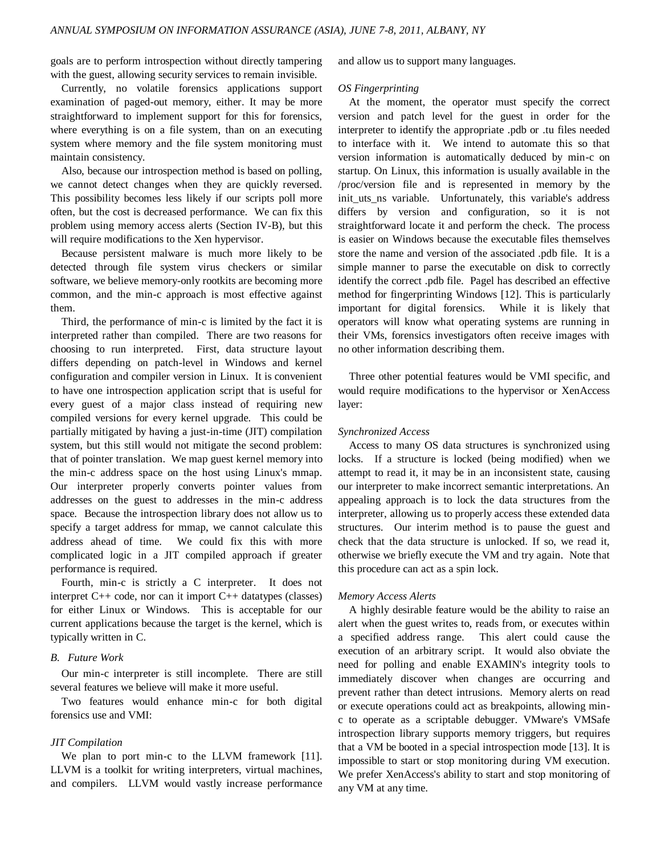goals are to perform introspection without directly tampering with the guest, allowing security services to remain invisible.

Currently, no volatile forensics applications support examination of paged-out memory, either. It may be more straightforward to implement support for this for forensics, where everything is on a file system, than on an executing system where memory and the file system monitoring must maintain consistency.

Also, because our introspection method is based on polling, we cannot detect changes when they are quickly reversed. This possibility becomes less likely if our scripts poll more often, but the cost is decreased performance. We can fix this problem using memory access alerts (Section IV-B), but this will require modifications to the Xen hypervisor.

Because persistent malware is much more likely to be detected through file system virus checkers or similar software, we believe memory-only rootkits are becoming more common, and the min-c approach is most effective against them.

Third, the performance of min-c is limited by the fact it is interpreted rather than compiled. There are two reasons for choosing to run interpreted. First, data structure layout differs depending on patch-level in Windows and kernel configuration and compiler version in Linux. It is convenient to have one introspection application script that is useful for every guest of a major class instead of requiring new compiled versions for every kernel upgrade. This could be partially mitigated by having a just-in-time (JIT) compilation system, but this still would not mitigate the second problem: that of pointer translation. We map guest kernel memory into the min-c address space on the host using Linux's mmap. Our interpreter properly converts pointer values from addresses on the guest to addresses in the min-c address space. Because the introspection library does not allow us to specify a target address for mmap, we cannot calculate this address ahead of time. We could fix this with more complicated logic in a JIT compiled approach if greater performance is required.

Fourth, min-c is strictly a C interpreter. It does not interpret C++ code, nor can it import C++ datatypes (classes) for either Linux or Windows. This is acceptable for our current applications because the target is the kernel, which is typically written in C.

## *B. Future Work*

Our min-c interpreter is still incomplete. There are still several features we believe will make it more useful.

Two features would enhance min-c for both digital forensics use and VMI:

### *JIT Compilation*

We plan to port min-c to the LLVM framework [11]. LLVM is a toolkit for writing interpreters, virtual machines, and compilers. LLVM would vastly increase performance and allow us to support many languages.

### *OS Fingerprinting*

At the moment, the operator must specify the correct version and patch level for the guest in order for the interpreter to identify the appropriate .pdb or .tu files needed to interface with it. We intend to automate this so that version information is automatically deduced by min-c on startup. On Linux, this information is usually available in the /proc/version file and is represented in memory by the init\_uts\_ns variable. Unfortunately, this variable's address differs by version and configuration, so it is not straightforward locate it and perform the check. The process is easier on Windows because the executable files themselves store the name and version of the associated .pdb file. It is a simple manner to parse the executable on disk to correctly identify the correct .pdb file. Pagel has described an effective method for fingerprinting Windows [12]. This is particularly important for digital forensics. While it is likely that operators will know what operating systems are running in their VMs, forensics investigators often receive images with no other information describing them.

Three other potential features would be VMI specific, and would require modifications to the hypervisor or XenAccess layer:

#### *Synchronized Access*

Access to many OS data structures is synchronized using locks. If a structure is locked (being modified) when we attempt to read it, it may be in an inconsistent state, causing our interpreter to make incorrect semantic interpretations. An appealing approach is to lock the data structures from the interpreter, allowing us to properly access these extended data structures. Our interim method is to pause the guest and check that the data structure is unlocked. If so, we read it, otherwise we briefly execute the VM and try again. Note that this procedure can act as a spin lock.

#### *Memory Access Alerts*

A highly desirable feature would be the ability to raise an alert when the guest writes to, reads from, or executes within a specified address range. This alert could cause the execution of an arbitrary script. It would also obviate the need for polling and enable EXAMIN's integrity tools to immediately discover when changes are occurring and prevent rather than detect intrusions. Memory alerts on read or execute operations could act as breakpoints, allowing minc to operate as a scriptable debugger. VMware's VMSafe introspection library supports memory triggers, but requires that a VM be booted in a special introspection mode [13]. It is impossible to start or stop monitoring during VM execution. We prefer XenAccess's ability to start and stop monitoring of any VM at any time.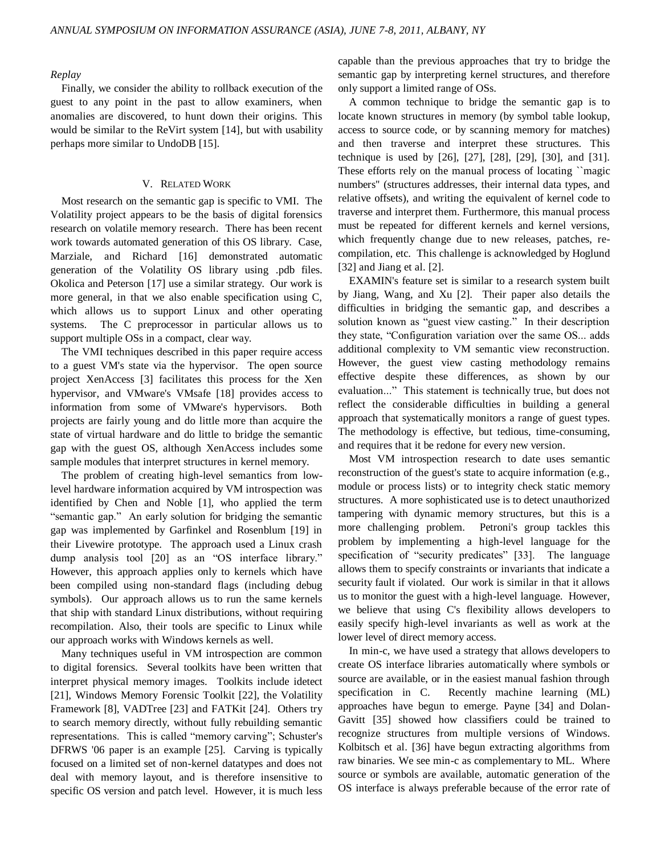## *Replay*

Finally, we consider the ability to rollback execution of the guest to any point in the past to allow examiners, when anomalies are discovered, to hunt down their origins. This would be similar to the ReVirt system [14], but with usability perhaps more similar to UndoDB [15].

## V. RELATED WORK

Most research on the semantic gap is specific to VMI. The Volatility project appears to be the basis of digital forensics research on volatile memory research. There has been recent work towards automated generation of this OS library. Case, Marziale, and Richard [16] demonstrated automatic generation of the Volatility OS library using .pdb files. Okolica and Peterson [17] use a similar strategy. Our work is more general, in that we also enable specification using C, which allows us to support Linux and other operating systems. The C preprocessor in particular allows us to support multiple OSs in a compact, clear way.

The VMI techniques described in this paper require access to a guest VM's state via the hypervisor. The open source project XenAccess [3] facilitates this process for the Xen hypervisor, and VMware's VMsafe [18] provides access to information from some of VMware's hypervisors. Both projects are fairly young and do little more than acquire the state of virtual hardware and do little to bridge the semantic gap with the guest OS, although XenAccess includes some sample modules that interpret structures in kernel memory.

The problem of creating high-level semantics from lowlevel hardware information acquired by VM introspection was identified by Chen and Noble [1], who applied the term "semantic gap." An early solution for bridging the semantic gap was implemented by Garfinkel and Rosenblum [19] in their Livewire prototype. The approach used a Linux crash dump analysis tool [20] as an "OS interface library." However, this approach applies only to kernels which have been compiled using non-standard flags (including debug symbols). Our approach allows us to run the same kernels that ship with standard Linux distributions, without requiring recompilation. Also, their tools are specific to Linux while our approach works with Windows kernels as well.

Many techniques useful in VM introspection are common to digital forensics. Several toolkits have been written that interpret physical memory images. Toolkits include idetect [21], Windows Memory Forensic Toolkit [22], the Volatility Framework [8], VADTree [23] and FATKit [24]. Others try to search memory directly, without fully rebuilding semantic representations. This is called "memory carving"; Schuster's DFRWS '06 paper is an example [25]. Carving is typically focused on a limited set of non-kernel datatypes and does not deal with memory layout, and is therefore insensitive to specific OS version and patch level. However, it is much less

capable than the previous approaches that try to bridge the semantic gap by interpreting kernel structures, and therefore only support a limited range of OSs.

A common technique to bridge the semantic gap is to locate known structures in memory (by symbol table lookup, access to source code, or by scanning memory for matches) and then traverse and interpret these structures. This technique is used by [26], [27], [28], [29], [30], and [31]. These efforts rely on the manual process of locating ``magic numbers'' (structures addresses, their internal data types, and relative offsets), and writing the equivalent of kernel code to traverse and interpret them. Furthermore, this manual process must be repeated for different kernels and kernel versions, which frequently change due to new releases, patches, recompilation, etc. This challenge is acknowledged by Hoglund [32] and Jiang et al. [2].

EXAMIN's feature set is similar to a research system built by Jiang, Wang, and Xu [2]. Their paper also details the difficulties in bridging the semantic gap, and describes a solution known as "guest view casting." In their description they state, "Configuration variation over the same OS... adds additional complexity to VM semantic view reconstruction. However, the guest view casting methodology remains effective despite these differences, as shown by our evaluation..." This statement is technically true, but does not reflect the considerable difficulties in building a general approach that systematically monitors a range of guest types. The methodology is effective, but tedious, time-consuming, and requires that it be redone for every new version.

Most VM introspection research to date uses semantic reconstruction of the guest's state to acquire information (e.g., module or process lists) or to integrity check static memory structures. A more sophisticated use is to detect unauthorized tampering with dynamic memory structures, but this is a more challenging problem. Petroni's group tackles this problem by implementing a high-level language for the specification of "security predicates" [33]. The language allows them to specify constraints or invariants that indicate a security fault if violated. Our work is similar in that it allows us to monitor the guest with a high-level language. However, we believe that using C's flexibility allows developers to easily specify high-level invariants as well as work at the lower level of direct memory access.

In min-c, we have used a strategy that allows developers to create OS interface libraries automatically where symbols or source are available, or in the easiest manual fashion through specification in C. Recently machine learning (ML) approaches have begun to emerge. Payne [34] and Dolan-Gavitt [35] showed how classifiers could be trained to recognize structures from multiple versions of Windows. Kolbitsch et al. [36] have begun extracting algorithms from raw binaries. We see min-c as complementary to ML. Where source or symbols are available, automatic generation of the OS interface is always preferable because of the error rate of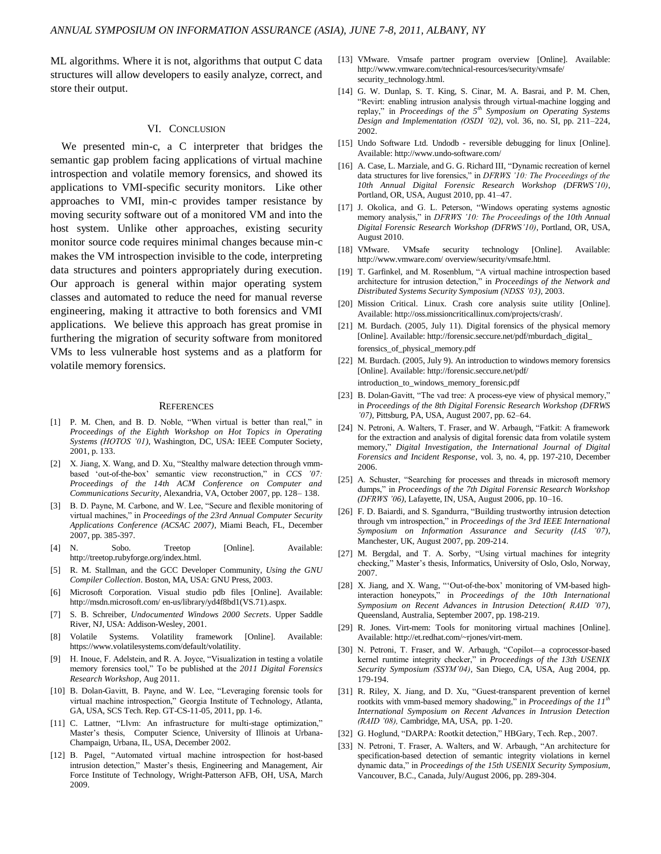ML algorithms. Where it is not, algorithms that output C data structures will allow developers to easily analyze, correct, and store their output.

## VI. CONCLUSION

We presented min-c, a C interpreter that bridges the semantic gap problem facing applications of virtual machine introspection and volatile memory forensics, and showed its applications to VMI-specific security monitors. Like other approaches to VMI, min-c provides tamper resistance by moving security software out of a monitored VM and into the host system. Unlike other approaches, existing security monitor source code requires minimal changes because min-c makes the VM introspection invisible to the code, interpreting data structures and pointers appropriately during execution. Our approach is general within major operating system classes and automated to reduce the need for manual reverse engineering, making it attractive to both forensics and VMI applications. We believe this approach has great promise in furthering the migration of security software from monitored VMs to less vulnerable host systems and as a platform for volatile memory forensics.

#### **REFERENCES**

- [1] P. M. Chen, and B. D. Noble, "When virtual is better than real," in *Proceedings of the Eighth Workshop on Hot Topics in Operating Systems (HOTOS '01)*, Washington, DC, USA: IEEE Computer Society, 2001, p. 133.
- [2] X. Jiang, X. Wang, and D. Xu, "Stealthy malware detection through vmmbased 'out-of-the-box' semantic view reconstruction," in *CCS* '07: *Proceedings of the 14th ACM Conference on Computer and Communications Security*, Alexandria, VA, October 2007, pp. 128– 138.
- [3] B. D. Payne, M. Carbone, and W. Lee, "Secure and flexible monitoring of virtual machines," in *Proceedings of the 23rd Annual Computer Security Applications Conference (ACSAC 2007)*, Miami Beach, FL, December 2007, pp. 385-397.
- [4] N. Sobo. Treetop [Online]. Available: http://treetop.rubyforge.org/index.html.
- [5] R. M. Stallman, and the GCC Developer Community, *Using the GNU Compiler Collection*. Boston, MA, USA: GNU Press, 2003.
- [6] Microsoft Corporation. Visual studio pdb files [Online]. Available: http://msdn.microsoft.com/ en-us/library/yd4f8bd1(VS.71).aspx.
- [7] S. B. Schreiber, *Undocumented Windows 2000 Secrets*. Upper Saddle River, NJ, USA: Addison-Wesley, 2001.
- [8] Volatile Systems. Volatility framework [Online]. Available: https://www.volatilesystems.com/default/volatility.
- [9] H. Inoue, F. Adelstein, and R. A. Joyce, "Visualization in testing a volatile memory forensics tool," To be published at the 2011 Digital Forensics *Research Workshop*, Aug 2011.
- [10] B. Dolan-Gavitt, B. Payne, and W. Lee, "Leveraging forensic tools for virtual machine introspection," Georgia Institute of Technology, Atlanta, GA, USA, SCS Tech. Rep. GT-CS-11-05, 2011, pp. 1-6.
- [11] C. Lattner, "Llvm: An infrastructure for multi-stage optimization," Master's thesis, Computer Science, University of Illinois at Urbana-Champaign, Urbana, IL, USA, December 2002.
- [12] B. Pagel, "Automated virtual machine introspection for host-based intrusion detection," Master's thesis, Engineering and Management, Air Force Institute of Technology, Wright-Patterson AFB, OH, USA, March 2009.
- [13] VMware. Vmsafe partner program overview [Online]. Available: http://www.vmware.com/technical-resources/security/vmsafe/ security\_technology.html.
- [14] G. W. Dunlap, S. T. King, S. Cinar, M. A. Basrai, and P. M. Chen, ―Revirt: enabling intrusion analysis through virtual-machine logging and replay," in *Proceedings of the 5<sup>th</sup> Symposium on Operating Systems Design and Implementation (OSDI '02)*, vol. 36, no. SI, pp. 211–224, 2002.
- [15] Undo Software Ltd. Undodb reversible debugging for linux [Online]. Available: http://www.undo-software.com/
- [16] A. Case, L. Marziale, and G. G. Richard III, "Dynamic recreation of kernel data structures for live forensics," in *DFRWS '10: The Proceedings of the 10th Annual Digital Forensic Research Workshop (DFRWS'10)*, Portland, OR, USA, August 2010, pp. 41–47.
- [17] J. Okolica, and G. L. Peterson, "Windows operating systems agnostic memory analysis," in *DFRWS '10: The Proceedings of the 10th Annual Digital Forensic Research Workshop (DFRWS'10)*, Portland, OR, USA, August 2010.
- [18] VMware. VMsafe security technology [Online]. Available: http://www.vmware.com/ overview/security/vmsafe.html.
- [19] T. Garfinkel, and M. Rosenblum, "A virtual machine introspection based architecture for intrusion detection," in *Proceedings of the Network and Distributed Systems Security Symposium (NDSS '03)*, 2003.
- [20] Mission Critical. Linux. Crash core analysis suite utility [Online]. Available: http://oss.missioncriticallinux.com/projects/crash/.
- [21] M. Burdach. (2005, July 11). Digital forensics of the physical memory [Online]. Available: http://forensic.seccure.net/pdf/mburdach\_digital\_ forensics\_of\_physical\_memory.pdf
- [22] M. Burdach. (2005, July 9). An introduction to windows memory forensics [Online]. Available: http://forensic.seccure.net/pdf/ introduction\_to\_windows\_memory\_forensic.pdf
- [23] B. Dolan-Gavitt, "The vad tree: A process-eye view of physical memory," in *Proceedings of the 8th Digital Forensic Research Workshop (DFRWS '07)*, Pittsburg, PA, USA, August 2007, pp. 62–64.
- [24] N. Petroni, A. Walters, T. Fraser, and W. Arbaugh, "Fatkit: A framework for the extraction and analysis of digital forensic data from volatile system memory," Digital Investigation, the International Journal of Digital *Forensics and Incident Response*, vol. 3, no. 4, pp. 197-210, December 2006.
- [25] A. Schuster, "Searching for processes and threads in microsoft memory dumps," in *Proceedings of the 7th Digital Forensic Research Workshop (DFRWS '06)*, Lafayette, IN, USA, August 2006, pp. 10–16.
- [26] F. D. Baiardi, and S. Sgandurra, "Building trustworthy intrusion detection through vm introspection," in *Proceedings of the 3rd IEEE International Symposium on Information Assurance and Security (IAS '07)*, Manchester, UK, August 2007, pp. 209-214.
- [27] M. Bergdal, and T. A. Sorby, "Using virtual machines for integrity checking," Master's thesis, Informatics, University of Oslo, Oslo, Norway, 2007.
- [28] X. Jiang, and X. Wang, "'Out-of-the-box' monitoring of VM-based highinteraction honeypots,‖ in *Proceedings of the 10th International Symposium on Recent Advances in Intrusion Detection( RAID '07)*, Queensland, Australia, September 2007, pp. 198-219.
- [29] R. Jones. Virt-mem: Tools for monitoring virtual machines [Online]. Available: http://et.redhat.com/~rjones/virt-mem.
- [30] N. Petroni, T. Fraser, and W. Arbaugh, "Copilot—a coprocessor-based kernel runtime integrity checker," in *Proceedings of the 13th USENIX Security Symposium (SSYM'04)*, San Diego, CA, USA, Aug 2004, pp. 179-194.
- [31] R. Riley, X. Jiang, and D. Xu, "Guest-transparent prevention of kernel rootkits with vmm-based memory shadowing," in *Proceedings of the 11<sup>th</sup> International Symposium on Recent Advances in Intrusion Detection (RAID '08),* Cambridge, MA, USA, pp. 1-20.
- [32] G. Hoglund, "DARPA: Rootkit detection," HBGary, Tech. Rep., 2007.
- [33] N. Petroni, T. Fraser, A. Walters, and W. Arbaugh, "An architecture for specification-based detection of semantic integrity violations in kernel dynamic data," in *Proceedings of the 15th USENIX Security Symposium*, Vancouver, B.C., Canada, July/August 2006, pp. 289-304.